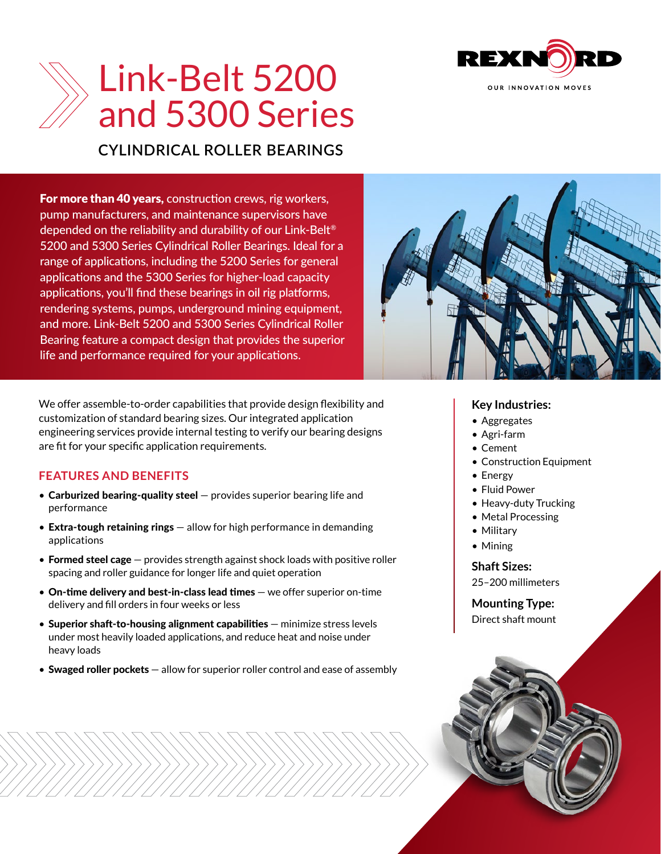

# Link-Belt 5200 and 5300 Series

## **CYLINDRICAL ROLLER BEARINGS**

**For more than 40 years, construction crews, rig workers,** pump manufacturers, and maintenance supervisors have depended on the reliability and durability of our Link-Belt® 5200 and 5300 Series Cylindrical Roller Bearings. Ideal for a range of applications, including the 5200 Series for general applications and the 5300 Series for higher-load capacity applications, you'll find these bearings in oil rig platforms, rendering systems, pumps, underground mining equipment, and more. Link-Belt 5200 and 5300 Series Cylindrical Roller Bearing feature a compact design that provides the superior life and performance required for your applications.



engineering services provide internal testing to verify our bearing designs are fit for your specific application requirements.

### **FEATURES AND BENEFITS**

- Carburized bearing-quality steel  $-$  provides superior bearing life and performance
- Extra-tough retaining rings allow for high performance in demanding applications
- Formed steel cage  $-$  provides strength against shock loads with positive roller spacing and roller guidance for longer life and quiet operation
- On-time delivery and best-in-class lead times we offer superior on-time delivery and fill orders in four weeks or less
- Superior shaft-to-housing alignment capabilities minimize stress levels under most heavily loaded applications, and reduce heat and noise under heavy loads
- Swaged roller pockets allow for superior roller control and ease of assembly



### **Key Industries:**

- Aggregates
- Agri-farm
- Cement
- Construction Equipment
- Energy
- Fluid Power
- Heavy-duty Trucking
- Metal Processing
- Military
- Mining

## **Shaft Sizes:**

25–200 millimeters

**Mounting Type:** Direct shaft mount